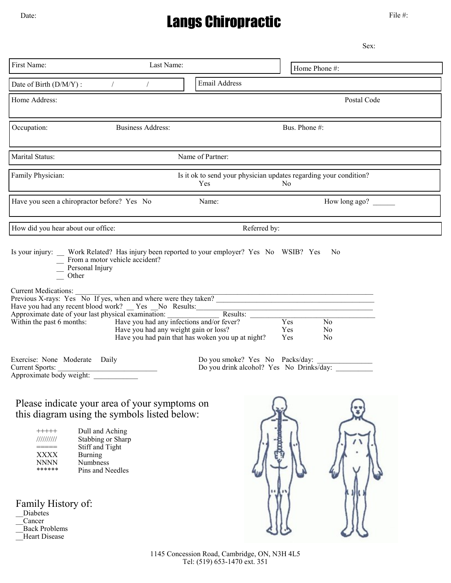## Date: **Example 2018 Chiropractic** File #: File #:

| First Name:                                                                                                                                                                                                                                                                                                                                                                                                                                                                                                                                                                                                                                               | Last Name:               |                                                                             | Home Phone #:                                                           |  |  |
|-----------------------------------------------------------------------------------------------------------------------------------------------------------------------------------------------------------------------------------------------------------------------------------------------------------------------------------------------------------------------------------------------------------------------------------------------------------------------------------------------------------------------------------------------------------------------------------------------------------------------------------------------------------|--------------------------|-----------------------------------------------------------------------------|-------------------------------------------------------------------------|--|--|
| Date of Birth (D/M/Y) :                                                                                                                                                                                                                                                                                                                                                                                                                                                                                                                                                                                                                                   | $\sqrt{2}$               | Email Address                                                               |                                                                         |  |  |
| Home Address:                                                                                                                                                                                                                                                                                                                                                                                                                                                                                                                                                                                                                                             |                          |                                                                             | Postal Code                                                             |  |  |
| Occupation:                                                                                                                                                                                                                                                                                                                                                                                                                                                                                                                                                                                                                                               | <b>Business Address:</b> |                                                                             | Bus. Phone #:                                                           |  |  |
| <b>Marital Status:</b>                                                                                                                                                                                                                                                                                                                                                                                                                                                                                                                                                                                                                                    |                          | Name of Partner:                                                            |                                                                         |  |  |
| Family Physician:                                                                                                                                                                                                                                                                                                                                                                                                                                                                                                                                                                                                                                         |                          | Yes                                                                         | Is it ok to send your physician updates regarding your condition?<br>No |  |  |
| Have you seen a chiropractor before? Yes No                                                                                                                                                                                                                                                                                                                                                                                                                                                                                                                                                                                                               |                          | Name:                                                                       | How long ago?                                                           |  |  |
| How did you hear about our office:                                                                                                                                                                                                                                                                                                                                                                                                                                                                                                                                                                                                                        |                          | Referred by:                                                                |                                                                         |  |  |
| Is your injury: __ Work Related? Has injury been reported to your employer? Yes No WSIB? Yes<br>N <sub>o</sub><br>$\overline{\phantom{a}}$ From a motor vehicle accident?<br>Personal Injury<br>Other<br><b>Current Medications:</b><br>Current Medications:<br>Previous X-rays: Yes No If yes, when and where were they taken?<br>Have you had any recent blood work? Yes No Results: <u>No Results:</u> Results:<br>Yes<br>Have you had any infections and/or fever?<br>Within the past 6 months:<br>No<br>Have you had any weight gain or loss?<br>Yes<br>N <sub>o</sub><br>Have you had pain that has woken you up at night?<br>Yes<br>N <sub>0</sub> |                          |                                                                             |                                                                         |  |  |
| Exercise: None Moderate Daily<br><b>Current Sports:</b><br>Approximate body weight:                                                                                                                                                                                                                                                                                                                                                                                                                                                                                                                                                                       |                          | Do you smoke? Yes No Packs/day:<br>Do you drink alcohol? Yes No Drinks/day: |                                                                         |  |  |
| Please indicate your area of your symptoms on<br>this diagram using the symbols listed below:<br>Dull and Aching<br>$+++++$<br>$\frac{1}{1}$<br>Stabbing or Sharp<br>$=====$<br>Stiff and Tight<br><b>XXXX</b><br>Burning<br><b>NNNN</b><br><b>Numbness</b><br>******<br>Pins and Needles<br>Family History of:<br>Diabetes<br>Cancer<br><b>Back Problems</b><br><b>Heart Disease</b>                                                                                                                                                                                                                                                                     |                          |                                                                             |                                                                         |  |  |

Heart Disease